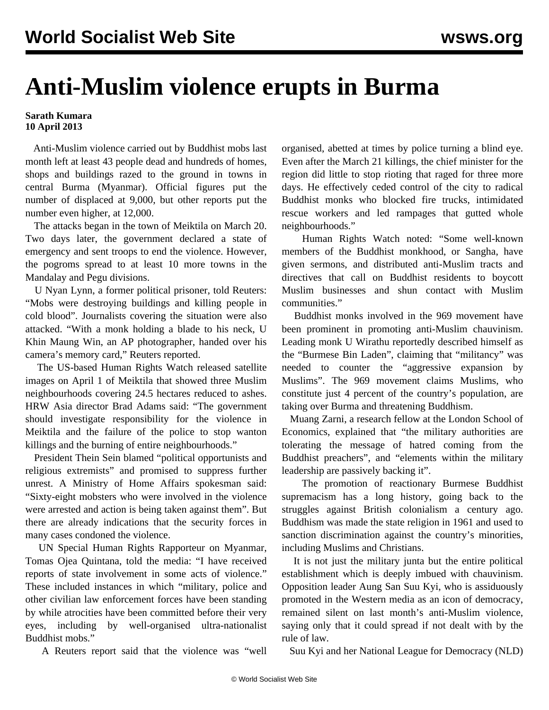## **Anti-Muslim violence erupts in Burma**

## **Sarath Kumara 10 April 2013**

 Anti-Muslim violence carried out by Buddhist mobs last month left at least 43 people dead and hundreds of homes, shops and buildings razed to the ground in towns in central Burma (Myanmar). Official figures put the number of displaced at 9,000, but other reports put the number even higher, at 12,000.

 The attacks began in the town of Meiktila on March 20. Two days later, the government declared a state of emergency and sent troops to end the violence. However, the pogroms spread to at least 10 more towns in the Mandalay and Pegu divisions.

 U Nyan Lynn, a former political prisoner, told Reuters: "Mobs were destroying buildings and killing people in cold blood". Journalists covering the situation were also attacked. "With a monk holding a blade to his neck, U Khin Maung Win, an AP photographer, handed over his camera's memory card," Reuters reported.

 The US-based Human Rights Watch released satellite images on April 1 of Meiktila that showed three Muslim neighbourhoods covering 24.5 hectares reduced to ashes. HRW Asia director Brad Adams said: "The government should investigate responsibility for the violence in Meiktila and the failure of the police to stop wanton killings and the burning of entire neighbourhoods."

 President Thein Sein blamed "political opportunists and religious extremists" and promised to suppress further unrest. A Ministry of Home Affairs spokesman said: "Sixty-eight mobsters who were involved in the violence were arrested and action is being taken against them". But there are already indications that the security forces in many cases condoned the violence.

 UN Special Human Rights Rapporteur on Myanmar, Tomas Ojea Quintana, told the media: "I have received reports of state involvement in some acts of violence." These included instances in which "military, police and other civilian law enforcement forces have been standing by while atrocities have been committed before their very eyes, including by well-organised ultra-nationalist Buddhist mobs."

A Reuters report said that the violence was "well

organised, abetted at times by police turning a blind eye. Even after the March 21 killings, the chief minister for the region did little to stop rioting that raged for three more days. He effectively ceded control of the city to radical Buddhist monks who blocked fire trucks, intimidated rescue workers and led rampages that gutted whole neighbourhoods."

 Human Rights Watch noted: "Some well-known members of the Buddhist monkhood, or Sangha, have given sermons, and distributed anti-Muslim tracts and directives that call on Buddhist residents to boycott Muslim businesses and shun contact with Muslim communities."

 Buddhist monks involved in the 969 movement have been prominent in promoting anti-Muslim chauvinism. Leading monk U Wirathu reportedly described himself as the "Burmese Bin Laden", claiming that "militancy" was needed to counter the "aggressive expansion by Muslims". The 969 movement claims Muslims, who constitute just 4 percent of the country's population, are taking over Burma and threatening Buddhism.

 Muang Zarni, a research fellow at the London School of Economics, explained that "the military authorities are tolerating the message of hatred coming from the Buddhist preachers", and "elements within the military leadership are passively backing it".

 The promotion of reactionary Burmese Buddhist supremacism has a long history, going back to the struggles against British colonialism a century ago. Buddhism was made the state religion in 1961 and used to sanction discrimination against the country's minorities, including Muslims and Christians.

 It is not just the military junta but the entire political establishment which is deeply imbued with chauvinism. Opposition leader Aung San Suu Kyi, who is assiduously promoted in the Western media as an icon of democracy, remained silent on last month's anti-Muslim violence, saying only that it could spread if not dealt with by the rule of law.

Suu Kyi and her National League for Democracy (NLD)